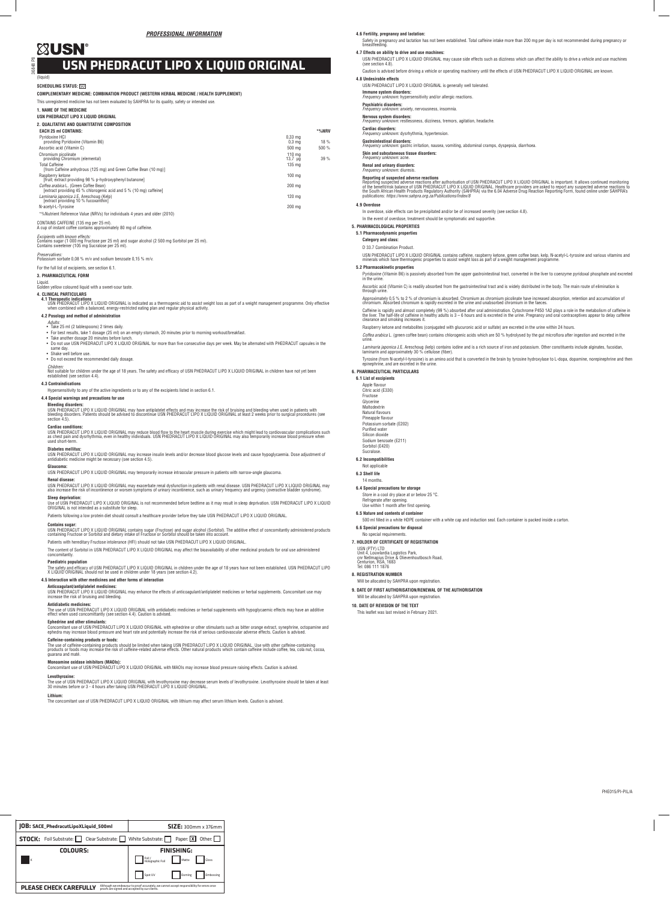PHE015/PI-PIL/A

(liquid)

# **SCHEDULING STATUS: SOL**

#### **COMPLEMENTARY MEDICINE: COMBINATION PRODUCT (WESTERN HERBAL MEDICINE / HEALTH SUPPLEMENT)**

This unregistered medicine has not been evaluated by SAHPRA for its quality, safety or intended use.

## **1. NAME OF THE MEDICINE**

# **USN PHEDRACUT LIPO X LIQUID ORIGINAL**

| 2. QUALITATIVE AND QUANTITATIVE COMPOSITION                                                                 |                                        |     |
|-------------------------------------------------------------------------------------------------------------|----------------------------------------|-----|
| <b>EACH 25 ml CONTAINS:</b>                                                                                 | *%NRV                                  |     |
| Pyridoxine HCI<br>providing Pyridoxine (Vitamin B6)                                                         | $0.33 \text{ ma}$<br>0.3 <sub>ma</sub> | 18% |
| Ascorbic acid (Vitamin C)                                                                                   | 500 %<br>500 ma                        |     |
| Chromium picolinate<br>providing Chromium (elemental)                                                       | $110 \text{ ma}$<br>13.7 <sub>uq</sub> | 39% |
| <b>Total Caffeine</b><br>[from Caffeine anhydrous (125 mg) and Green Coffee Bean (10 mg)]                   | 135 mg                                 |     |
| Raspberry ketone<br>Ifruit: extract providing 98 % p-hydroxyphenyl butanonel                                | $100 \text{ ma}$                       |     |
| Coffea arabica L. (Green Coffee Bean)<br>[extract providing 45 % chlorogenic acid and 5 % (10 mg) caffeine] | 200 ma                                 |     |
| Laminaria japonica J.E. Areschoug (Kelp)<br>Textract providing 10 % fucoxanthin1                            | 120 ma                                 |     |
| N-acetyl-L-Tyrosine                                                                                         | 200 ma                                 |     |

## \*%Nutrient Reference Value (NRVs) for individuals 4 years and older (2010)

CONTAINS CAFFEINE (135 mg per 25 ml). A cup of instant coffee contains approximately 80 mg of caffeine.

# *Excipients with known effects:*

Contains sugar (1 000 mg Fructose per 25 ml) and sugar alcohol (2 500 mg Sorbitol per 25 ml). Contains sweetener (105 mg Sucralose per 25 ml).

*Children:*<br>Not suitable for children under the age of 18 years. The safety and efficacy of USN PHEDRACUT LIPO X LIQUID ORIGINAL in children have not yet been<br>established (see section 4.4). **4.3 Contraindications**

# *Preservatives:* Potassium sorbate 0,08 % m/v and sodium benzoate 0,15 % m/v.

For the full list of excipients, see section 6.1.

#### **3. PHARMACEUTICAL FORM**

Liquid.

Golden yellow coloured liquid with a sweet-sour taste.

# **4. CLINICAL PARTICULARS**

4**.1 Therapeutic indications**<br>USN PHEDRACUT LIPO X LIQUID ORIGINAL is indicated as a thermogenic aid to assist weight loss as part of a weight management programme. Only effective<br>when combined with a balanced, energy-rest

USN PHEDRACUT LIPO X LIQUID ORIGINAL may reduce blood flow to the heart muscle during exercise which might lead to cardiovascular complications such<br>as chest pain and dysrhythmia, even in healthy individuals. USN PHEDRACUT used short-term.

### **4.2 Posology and method of administration**

- *Adults:* Take 25 ml (2 tablespoons) 2 times daily. • For best results, take 1 dosage (25 ml) on an empty stomach, 20 minutes prior to morning workout/breakfast. • Take another dosage 20 minutes before lunch.
- 
- Take anomer useage zo minutes before rangit.<br>• Do not use USN PHEDRACUT LIPO X LIQUID ORIGINAL for more than five consecutive days per week. May be alternated with PHEDRACUT capsules in the<br>same day same day. • Shake well before use.
- 
- Do not exceed the recommended daily dosage.

Hypersensitivity to any of the active ingredients or to any of the excipients listed in section 6.1.

# **4.4 Special warnings and precautions for use**

**Bleeding disorders:**

USN PHEDRACUT LIPO X LIQUID ORIGINAL may have antiplatelet effects and may increase the risk of bruising and bleeding when used in patients with<br>bleeding disorders. Patients should be advised to discontinue USN PHEDRACUT L section 4.5)

### **Cardiac conditions:**

## **Diabetes mellitus:**

USN PHEDRACUT LIPO X LIQUID ORIGINAL may increase insulin levels and/or decrease blood glucose levels and cause hypoglycaemia. Dose adjustment of antidiabetic medicine might be necessary (see section 4.5).

### **Glaucoma:**

USN PHEDRACUT LIPO X LIQUID ORIGINAL may temporarily increase intraocular pressure in patients with narrow-angle glaucoma.

#### **Renal disease:**

USN PHEDRACUT LIPO X LIQUID ORIGINAL may exacerbate renal dysfunction in patients with renal disease. USN PHEDRACUT LIPO X LIQUID ORIGINAL may<br>also increase the risk of incontinence or worsen symptoms of urinary incontinen

### **Sleep deprivation:**

Use of USN PHEDRACUT LIPO X LIQUID ORIGINAL is not recommended before bedtime as it may result in sleep deprivation. USN PHEDRACUT LIPO X LIQUID<br>ORIGINAL is not intended as a substitute for sleep.

Patients following a low protein diet should consult a healthcare provider before they take USN PHEDRACUT LIPO X LIQUID ORIGINAL.

#### **Contains sugar:**

USN PHEDRACUT LIPO X LIQUID ORIGINAL contains sugar (Fructose) and sugar alcohol (Sorbitol). The additive effect of concomitantly administered products<br>containing Fructose or Sorbitol and dietary intake of Fructose or Sorb

Patients with hereditary Fructose intolerance (HFI) should not take USN PHEDRACUT LIPO X LIQUID ORIGINAL.

Ascorbic acid (Vitamin C) is readily absorbed from the gastrointestinal tract and is widely distributed in the body. The main route of elimination is through urine

Approximately 0,5 % to 2 % of chromium is absorbed. Chromium as chromium picolinate have increased absorption, retention and accumulation of<br>chromium. Absorbed chromium is rapidly excreted in the urine and unabsorbed chrom

The content of Sorbitol in USN PHEDRACUT LIPO X LIQUID ORIGINAL may affect the bioavailability of other medicinal products for oral use administered concomitantly.

### **Paediatric population**

The safety and efficacy of USN PHEDRACUT LIPO X LIQUID ORIGINAL in children under the age of 18 years have not been established. USN PHEDRACUT LIPO<br>X LIQUID ORIGINAL should not be used in children under 18 years (see secti

Caffeine is rapidly and almost completely (99 %) absorbed after oral administration. Cytochrome P450 1A2 plays a role in the metabolism of caffeine in<br>the liver. The half-life of caffeine in healthy adults is 3 – 6 hours a clearance and smoking increases it.

## **4.5 Interaction with other medicines and other forms of interaction**

**Anticoagulant/antiplatelet medicines:** USN PHEDRACUT LIPO X LIQUID ORIGINAL may enhance the effects of anticoagulant/antiplatelet medicines or herbal supplements. Concomitant use may

### increase the risk of bruising and bleeding.

**Antidiabetic medicines:**

The use of USN PHEDRACUT LIPO X LIQUID ORIGINAL with antidiabetic medicines or herbal supplements with hypoglycaemic effects may have an additive effect when used concomittantly (see section 4.4). Caution is advised.

# **Ephedrine and other stimulants:**

Concomitant use of USN PHEDRACUT LIPO X LIQUID ORIGINAL with ephedrine or other stimulants such as bitter orange extract, synephrine, octopamine and<br>ephedra may increase blood pressure and heart rate and potentially increa

**Caffeine-containing products or foods:**<br>The use of caffeine-containing products should be limited when taking USN PHEDRACUT LIPO X LIQUID ORIGINAL. Use with other caffeine-containing<br>products or foods may increase the ris

#### **Monoamine oxidase inhibitors (MAOIs):**

Concomitant use of USN PHEDRACUT LIPO X LIQUID ORIGINAL with MAOIs may increase blood pressure raising effects. Caution is advised.

### **Levothyroxine:**

The use of USN PHEDRACUT LIPO X LIQUID ORIGINAL with levothyroxine may decrease serum levels of levothyroxine. Levothyroxine should be taken at least<br>30 minutes before or 3 - 4 hours after taking USN PHEDRACUT LIPO X LIQUI

#### **Lithium:**

The concomitant use of USN PHEDRACUT LIPO X LIQUID ORIGINAL with lithium may affect serum lithium levels. Caution is advised.

Safety in pregnancy and lactation has not been established. Total caffeine intake more than 200 mg per day is not recommended during pregnancy or breastfeeding.

#### **4.7 Effects on ability to drive and use machines:**

USN PHEDRACUT LIPO X LIQUID ORIGINAL may cause side effects such as dizziness which can affect the ability to drive a vehicle and use machines (see section 4.8).

Caution is advised before driving a vehicle or operating machinery until the effects of USN PHEDRACUT LIPO X LIQUID ORIGINAL are known.

### **4.8 Undesirable effects**

USN PHEDRACUT LIPO X LIQUID ORIGINAL is generally well tolerated.

**Immune system disorders:** *Frequency unknown:* hypersensitivity and/or allergic reactions.

### **Psychiatric disorders:**

*Frequency unknown:* anxiety, nervousness, insomnia.

**Nervous system disorders:** *Frequency unknown:* restlessness, dizziness, tremors, agitation, headache.

# **Cardiac disorders:** *Frequency unknown:* dysrhythmia, hypertension.

**Gastrointestinal disorders:** *Frequency unknown:* gastric irritation, nausea, vomiting, abdominal cramps, dyspepsia, diarrhoea.

**Skin and subcutaneous tissue disorders:**

*Frequency unknown:* acne.

### **Renal and urinary disorders:**

*Frequency unknown:* diuresis.

**Reporting of suspected adverse reactions**<br>Reporting suspected adverse reactions after authorisation of USN PHEDRACUT LIPO X LIQUID ORIGINAL is important. It allows continued monitoring<br>of the benefit/risk balance of USN P

#### **4.9 Overdose**

In overdose, side effects can be precipitated and/or be of increased severity (see section 4.8).

In the event of overdose, treatment should be symptomatic and supportive.

#### **5. PHARMACOLOGICAL PROPERTIES 5.1 Pharmacodynamic properties**

**Category and class:**

D 33.7 Combination Product.

USN PHEDRACUT LIPO X LIQUID ORIGINAL contains caffeine, raspberry ketone, green coffee bean, kelp, N-acetyl-L-tyrosine and various vitamins and<br>minerals which have thermogenic properties to assist weight loss as part of a

#### **5.2 Pharmacokinetic properties**

Pyridoxine (Vitamin B6) is passively absorbed from the upper gastrointestinal tract, converted in the liver to coenzyme pyridoxal phosphate and excreted in the urine.

Raspberry ketone and metabolites (conjugated with glucuronic acid or sulfate) are excreted in the urine within 24 hours.

*Coffea arabica* L. (green coffee bean) contains chlorogenic acids which are 50 % hydrolysed by the gut microflora after ingestion and excreted in the urine.

*Laminaria japonica* J.E. Areschoug (kelp) contains iodine and is a rich source of iron and potassium. Other constituents include alginates, fucoidan,<br>Iaminarin and approximately 30 % cellulose (fiber).

Tyrosine (from N-acetyl-l-tyrosine) is an amino acid that is converted in the brain by tyrosine hydroxylase to L-dopa, dopamine, norepinephrine and then epinephrine, and are excreted in the urine. **6. PHARMACEUTICAL PARTICULARS**

**6.1 List of excipients** Apple flavour Citric acid (E330) Fructose Glycerine Maltodextrin Natural flavours Pineapple flavour Potassium sorbate (E202) Purified water Silicon dioxide Sodium benzoate (E211) Sorbitol (E420) **Sucralose 6.2 Incompatibilities** Not applicable **6.3 Shelf life** 14 months.

**6.4 Special precautions for storage** Store in a cool dry place at or below 25 °C.

Refrigerate after opening. Use within 1 month after first opening. **6.5 Nature and contents of container**

500 ml filled in a white HDPE container with a white cap and induction seal. Each container is packed inside a carton.

**6.6 Special precautions for disposal** No special requirements. **7. HOLDER OF CERTIFICATE OF REGISTRATION**

USN (PTY) LTD Unit 4, Louwlardia Logistics Park, cnr Nellmapius Drive & Olievenhoutbosch Road, Centurion, RSA, 1683 Tel: 086 111 1876

**8. REGISTRATION NUMBER**

Will be allocated by SAHPRA upon registration.

Will be allocated by SAHPRA upon registration.

**9. DATE OF FIRST AUTHORISATION/RENEWAL OF THE AUTHORISATION** 

**10. DATE OF REVISION OF THE TEXT** This leaflet was last revised in February 2021.

# **USN PHEDRACUT LIPO X LIQUID ORIGINAL**